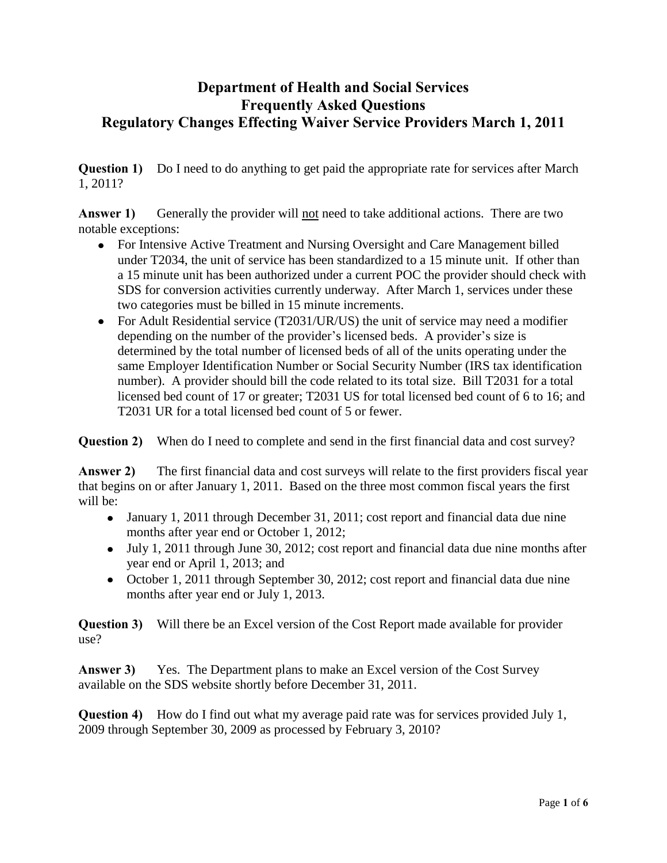## **Department of Health and Social Services Frequently Asked Questions Regulatory Changes Effecting Waiver Service Providers March 1, 2011**

**Question 1)** Do I need to do anything to get paid the appropriate rate for services after March 1, 2011?

Answer 1) Generally the provider will not need to take additional actions. There are two notable exceptions:

- For Intensive Active Treatment and Nursing Oversight and Care Management billed under T2034, the unit of service has been standardized to a 15 minute unit. If other than a 15 minute unit has been authorized under a current POC the provider should check with SDS for conversion activities currently underway. After March 1, services under these two categories must be billed in 15 minute increments.
- For Adult Residential service (T2031/UR/US) the unit of service may need a modifier depending on the number of the provider's licensed beds. A provider's size is determined by the total number of licensed beds of all of the units operating under the same Employer Identification Number or Social Security Number (IRS tax identification number). A provider should bill the code related to its total size. Bill T2031 for a total licensed bed count of 17 or greater; T2031 US for total licensed bed count of 6 to 16; and T2031 UR for a total licensed bed count of 5 or fewer.

**Question 2)** When do I need to complete and send in the first financial data and cost survey?

**Answer 2)** The first financial data and cost surveys will relate to the first providers fiscal year that begins on or after January 1, 2011. Based on the three most common fiscal years the first will be:

- January 1, 2011 through December 31, 2011; cost report and financial data due nine months after year end or October 1, 2012;
- July 1, 2011 through June 30, 2012; cost report and financial data due nine months after year end or April 1, 2013; and
- October 1, 2011 through September 30, 2012; cost report and financial data due nine months after year end or July 1, 2013.

**Question 3)** Will there be an Excel version of the Cost Report made available for provider use?

**Answer 3)** Yes. The Department plans to make an Excel version of the Cost Survey available on the SDS website shortly before December 31, 2011.

**Question 4)** How do I find out what my average paid rate was for services provided July 1, 2009 through September 30, 2009 as processed by February 3, 2010?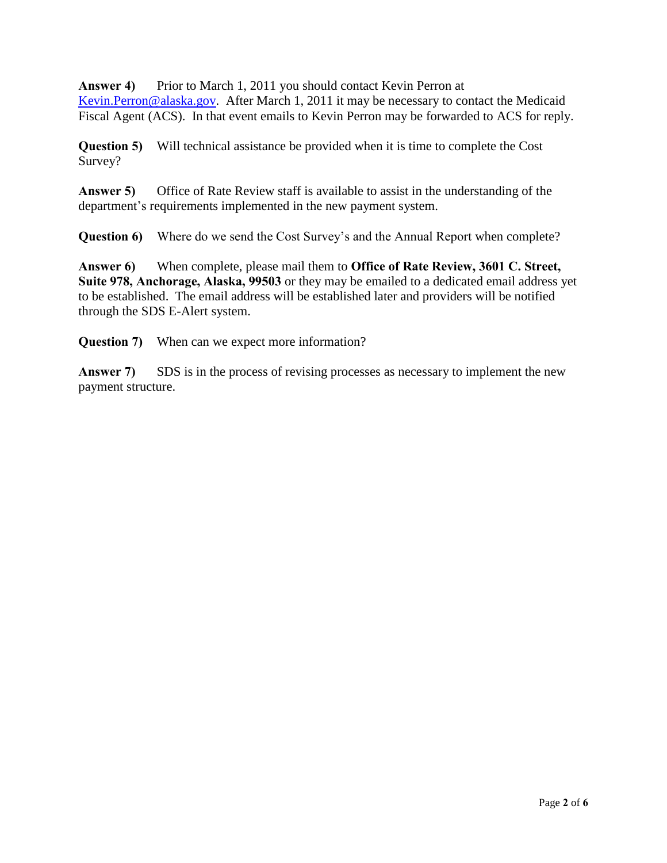**Answer 4)** Prior to March 1, 2011 you should contact Kevin Perron at [Kevin.Perron@alaska.gov.](mailto:Kevin.Perron@alaska.gov) After March 1, 2011 it may be necessary to contact the Medicaid Fiscal Agent (ACS). In that event emails to Kevin Perron may be forwarded to ACS for reply.

**Question 5)** Will technical assistance be provided when it is time to complete the Cost Survey?

**Answer 5)** Office of Rate Review staff is available to assist in the understanding of the department's requirements implemented in the new payment system.

**Question 6)** Where do we send the Cost Survey's and the Annual Report when complete?

**Answer 6)** When complete, please mail them to **Office of Rate Review, 3601 C. Street, Suite 978, Anchorage, Alaska, 99503** or they may be emailed to a dedicated email address yet to be established. The email address will be established later and providers will be notified through the SDS E-Alert system.

**Question 7)** When can we expect more information?

Answer 7) SDS is in the process of revising processes as necessary to implement the new payment structure.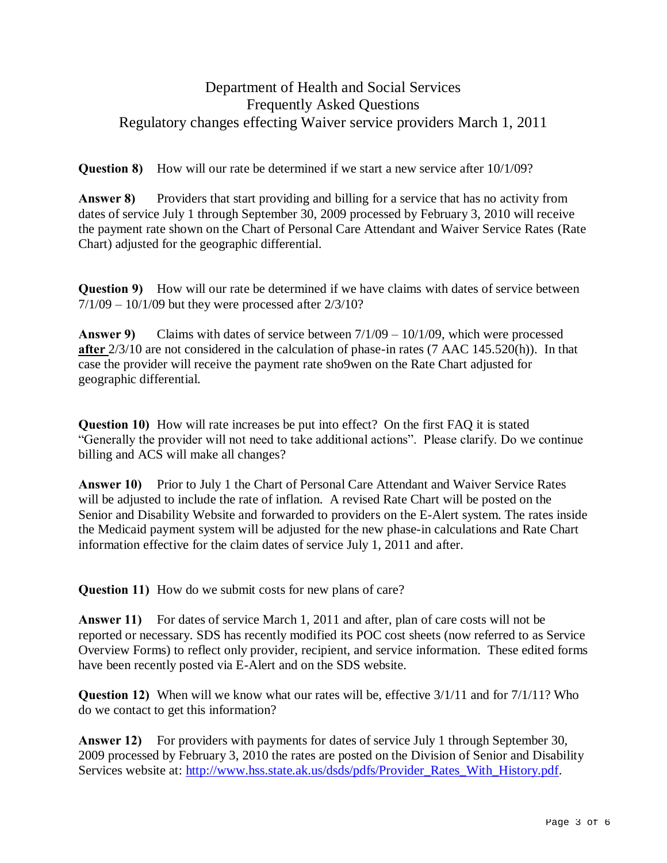## Department of Health and Social Services Frequently Asked Questions Regulatory changes effecting Waiver service providers March 1, 2011

**Question 8)** How will our rate be determined if we start a new service after  $10/1/09$ ?

**Answer 8)** Providers that start providing and billing for a service that has no activity from dates of service July 1 through September 30, 2009 processed by February 3, 2010 will receive the payment rate shown on the Chart of Personal Care Attendant and Waiver Service Rates (Rate Chart) adjusted for the geographic differential.

**Question 9)** How will our rate be determined if we have claims with dates of service between  $7/1/09 - 10/1/09$  but they were processed after  $2/3/10$ ?

**Answer 9)** Claims with dates of service between 7/1/09 – 10/1/09, which were processed **after** 2/3/10 are not considered in the calculation of phase-in rates (7 AAC 145.520(h)). In that case the provider will receive the payment rate sho9wen on the Rate Chart adjusted for geographic differential.

**Question 10)** How will rate increases be put into effect? On the first FAQ it is stated "Generally the provider will not need to take additional actions". Please clarify. Do we continue billing and ACS will make all changes?

**Answer 10)** Prior to July 1 the Chart of Personal Care Attendant and Waiver Service Rates will be adjusted to include the rate of inflation. A revised Rate Chart will be posted on the Senior and Disability Website and forwarded to providers on the E-Alert system. The rates inside the Medicaid payment system will be adjusted for the new phase-in calculations and Rate Chart information effective for the claim dates of service July 1, 2011 and after.

**Question 11)** How do we submit costs for new plans of care?

**Answer 11)** For dates of service March 1, 2011 and after, plan of care costs will not be reported or necessary. SDS has recently modified its POC cost sheets (now referred to as Service Overview Forms) to reflect only provider, recipient, and service information. These edited forms have been recently posted via E-Alert and on the SDS website.

**Question 12)** When will we know what our rates will be, effective 3/1/11 and for 7/1/11? Who do we contact to get this information?

**Answer 12)** For providers with payments for dates of service July 1 through September 30, 2009 processed by February 3, 2010 the rates are posted on the Division of Senior and Disability Services website at: [http://www.hss.state.ak.us/dsds/pdfs/Provider\\_Rates\\_With\\_History.pdf.](http://www.hss.state.ak.us/dsds/pdfs/Provider_Rates_With_History.pdf)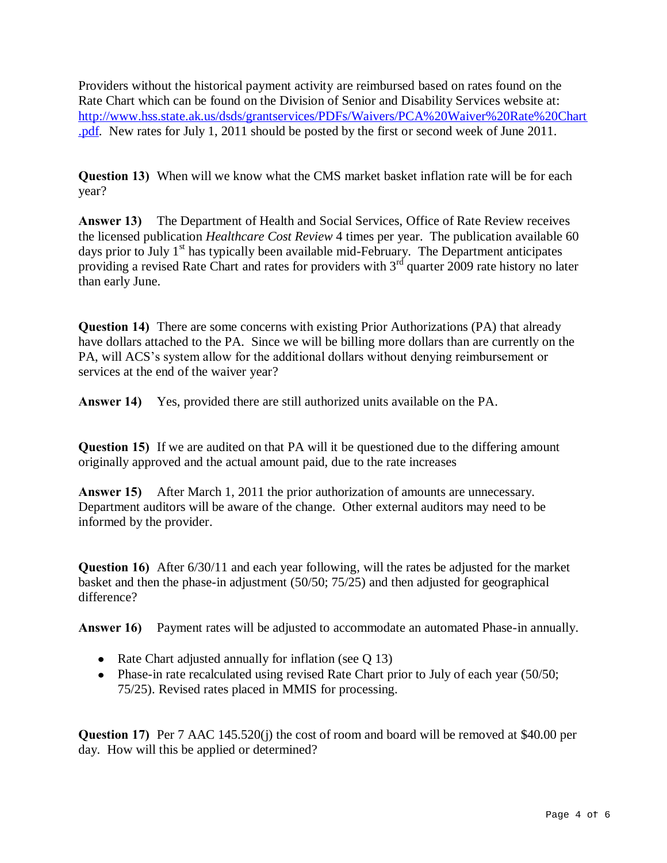Providers without the historical payment activity are reimbursed based on rates found on the Rate Chart which can be found on the Division of Senior and Disability Services website at: [http://www.hss.state.ak.us/dsds/grantservices/PDFs/Waivers/PCA%20Waiver%20Rate%20Chart](http://www.hss.state.ak.us/dsds/grantservices/PDFs/Waivers/PCA%20Waiver%20Rate%20Chart.pdf) [.pdf.](http://www.hss.state.ak.us/dsds/grantservices/PDFs/Waivers/PCA%20Waiver%20Rate%20Chart.pdf) New rates for July 1, 2011 should be posted by the first or second week of June 2011.

**Question 13)** When will we know what the CMS market basket inflation rate will be for each year?

**Answer 13)** The Department of Health and Social Services, Office of Rate Review receives the licensed publication *Healthcare Cost Review* 4 times per year. The publication available 60 days prior to July  $1<sup>st</sup>$  has typically been available mid-February. The Department anticipates providing a revised Rate Chart and rates for providers with  $3^{rd}$  quarter 2009 rate history no later than early June.

**Question 14)** There are some concerns with existing Prior Authorizations (PA) that already have dollars attached to the PA. Since we will be billing more dollars than are currently on the PA, will ACS's system allow for the additional dollars without denying reimbursement or services at the end of the waiver year?

**Answer 14)** Yes, provided there are still authorized units available on the PA.

**Question 15)** If we are audited on that PA will it be questioned due to the differing amount originally approved and the actual amount paid, due to the rate increases

**Answer 15)** After March 1, 2011 the prior authorization of amounts are unnecessary. Department auditors will be aware of the change. Other external auditors may need to be informed by the provider.

**Question 16)** After 6/30/11 and each year following, will the rates be adjusted for the market basket and then the phase-in adjustment (50/50; 75/25) and then adjusted for geographical difference?

**Answer 16)** Payment rates will be adjusted to accommodate an automated Phase-in annually.

- Rate Chart adjusted annually for inflation (see Q 13)
- Phase-in rate recalculated using revised Rate Chart prior to July of each year (50/50; 75/25). Revised rates placed in MMIS for processing.

**Question 17)** Per 7 AAC 145.520(j) the cost of room and board will be removed at \$40.00 per day. How will this be applied or determined?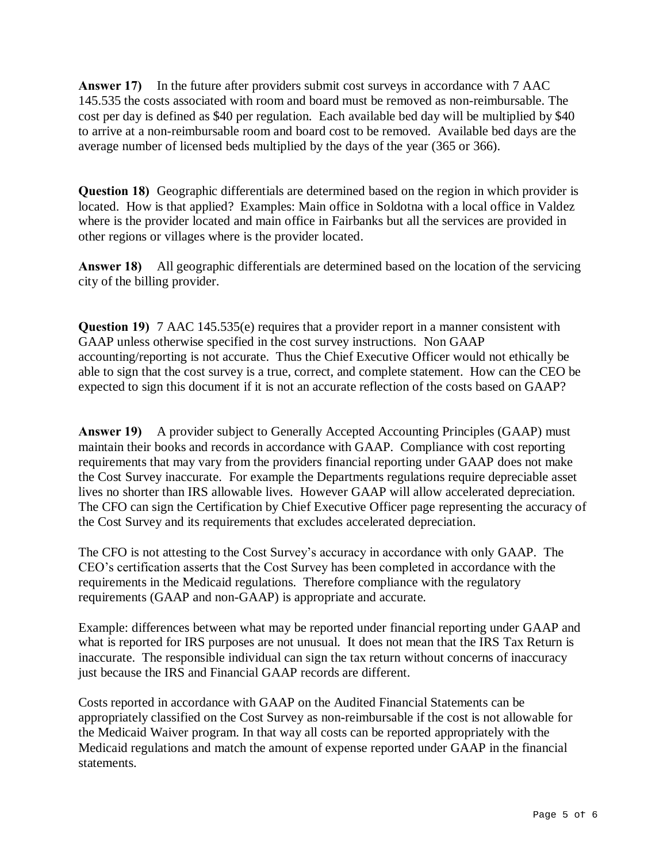**Answer 17)** In the future after providers submit cost surveys in accordance with 7 AAC 145.535 the costs associated with room and board must be removed as non-reimbursable. The cost per day is defined as \$40 per regulation. Each available bed day will be multiplied by \$40 to arrive at a non-reimbursable room and board cost to be removed. Available bed days are the average number of licensed beds multiplied by the days of the year (365 or 366).

**Question 18)** Geographic differentials are determined based on the region in which provider is located. How is that applied? Examples: Main office in Soldotna with a local office in Valdez where is the provider located and main office in Fairbanks but all the services are provided in other regions or villages where is the provider located.

**Answer 18)** All geographic differentials are determined based on the location of the servicing city of the billing provider.

**Question 19)** 7 AAC 145.535(e) requires that a provider report in a manner consistent with GAAP unless otherwise specified in the cost survey instructions. Non GAAP accounting/reporting is not accurate. Thus the Chief Executive Officer would not ethically be able to sign that the cost survey is a true, correct, and complete statement. How can the CEO be expected to sign this document if it is not an accurate reflection of the costs based on GAAP?

**Answer 19)** A provider subject to Generally Accepted Accounting Principles (GAAP) must maintain their books and records in accordance with GAAP. Compliance with cost reporting requirements that may vary from the providers financial reporting under GAAP does not make the Cost Survey inaccurate. For example the Departments regulations require depreciable asset lives no shorter than IRS allowable lives. However GAAP will allow accelerated depreciation. The CFO can sign the Certification by Chief Executive Officer page representing the accuracy of the Cost Survey and its requirements that excludes accelerated depreciation.

The CFO is not attesting to the Cost Survey's accuracy in accordance with only GAAP. The CEO's certification asserts that the Cost Survey has been completed in accordance with the requirements in the Medicaid regulations. Therefore compliance with the regulatory requirements (GAAP and non-GAAP) is appropriate and accurate.

Example: differences between what may be reported under financial reporting under GAAP and what is reported for IRS purposes are not unusual. It does not mean that the IRS Tax Return is inaccurate. The responsible individual can sign the tax return without concerns of inaccuracy just because the IRS and Financial GAAP records are different.

Costs reported in accordance with GAAP on the Audited Financial Statements can be appropriately classified on the Cost Survey as non-reimbursable if the cost is not allowable for the Medicaid Waiver program. In that way all costs can be reported appropriately with the Medicaid regulations and match the amount of expense reported under GAAP in the financial statements.